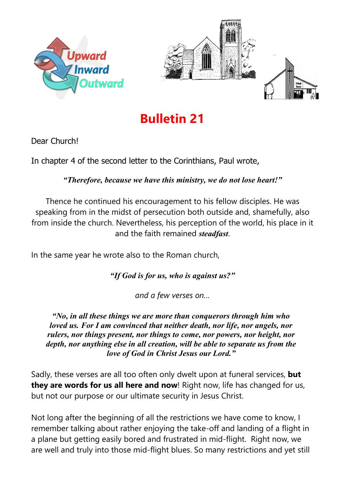



## **Bulletin 21**

Dear Church!

In chapter 4 of the second letter to the Corinthians, Paul wrote,

*"Therefore, because we have this ministry, we do not lose heart!"*

Thence he continued his encouragement to his fellow disciples. He was speaking from in the midst of persecution both outside and, shamefully, also from inside the church. Nevertheless, his perception of the world, his place in it and the faith remained *steadfast*.

In the same year he wrote also to the Roman church,

*"If God is for us, who is against us?"* 

*and a few verses on…*

*"No, in all these things we are more than conquerors through him who loved us. For I am convinced that neither death, nor life, nor angels, nor rulers, nor things present, nor things to come, nor powers, nor height, nor depth, nor anything else in all creation, will be able to separate us from the love of God in Christ Jesus our Lord."*

Sadly, these verses are all too often only dwelt upon at funeral services, **but they are words for us all here and now**! Right now, life has changed for us, but not our purpose or our ultimate security in Jesus Christ.

Not long after the beginning of all the restrictions we have come to know, I remember talking about rather enjoying the take-off and landing of a flight in a plane but getting easily bored and frustrated in mid-flight. Right now, we are well and truly into those mid-flight blues. So many restrictions and yet still